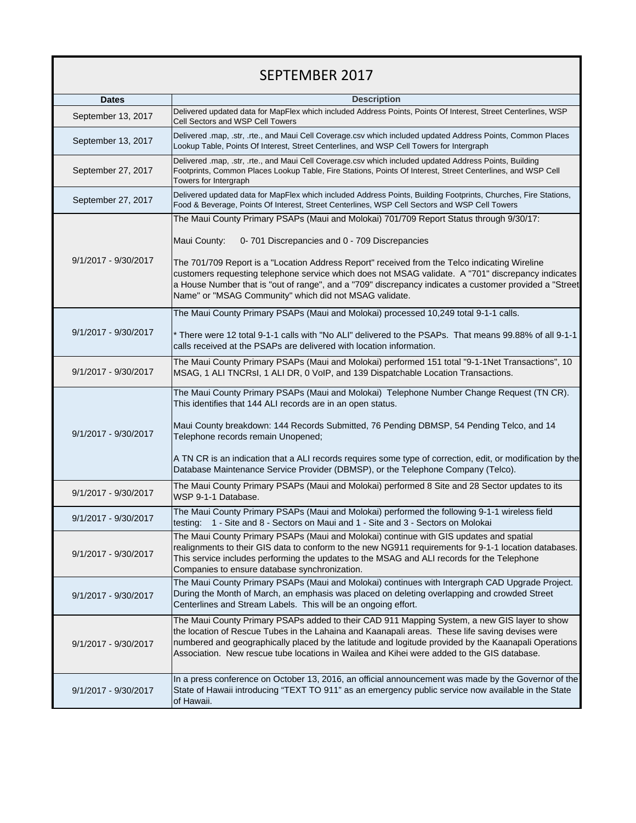## SEPTEMBER 2017

| <b>Dates</b>         | <b>Description</b>                                                                                                                                                                                                                                                                                                                                                                                    |
|----------------------|-------------------------------------------------------------------------------------------------------------------------------------------------------------------------------------------------------------------------------------------------------------------------------------------------------------------------------------------------------------------------------------------------------|
|                      | Delivered updated data for MapFlex which included Address Points, Points Of Interest, Street Centerlines, WSP                                                                                                                                                                                                                                                                                         |
| September 13, 2017   | Cell Sectors and WSP Cell Towers                                                                                                                                                                                                                                                                                                                                                                      |
| September 13, 2017   | Delivered .map, .str, .rte., and Maui Cell Coverage.csv which included updated Address Points, Common Places<br>Lookup Table, Points Of Interest, Street Centerlines, and WSP Cell Towers for Intergraph                                                                                                                                                                                              |
| September 27, 2017   | Delivered .map, .str, .rte., and Maui Cell Coverage.csv which included updated Address Points, Building<br>Footprints, Common Places Lookup Table, Fire Stations, Points Of Interest, Street Centerlines, and WSP Cell<br>Towers for Intergraph                                                                                                                                                       |
| September 27, 2017   | Delivered updated data for MapFlex which included Address Points, Building Footprints, Churches, Fire Stations,<br>Food & Beverage, Points Of Interest, Street Centerlines, WSP Cell Sectors and WSP Cell Towers                                                                                                                                                                                      |
| 9/1/2017 - 9/30/2017 | The Maui County Primary PSAPs (Maui and Molokai) 701/709 Report Status through 9/30/17:                                                                                                                                                                                                                                                                                                               |
|                      | Maui County:<br>0-701 Discrepancies and 0 - 709 Discrepancies                                                                                                                                                                                                                                                                                                                                         |
|                      | The 701/709 Report is a "Location Address Report" received from the Telco indicating Wireline<br>customers requesting telephone service which does not MSAG validate. A "701" discrepancy indicates<br>a House Number that is "out of range", and a "709" discrepancy indicates a customer provided a "Street<br>Name" or "MSAG Community" which did not MSAG validate.                               |
|                      | The Maui County Primary PSAPs (Maui and Molokai) processed 10,249 total 9-1-1 calls.                                                                                                                                                                                                                                                                                                                  |
| 9/1/2017 - 9/30/2017 | * There were 12 total 9-1-1 calls with "No ALI" delivered to the PSAPs. That means 99.88% of all 9-1-1<br>calls received at the PSAPs are delivered with location information.                                                                                                                                                                                                                        |
| 9/1/2017 - 9/30/2017 | The Maui County Primary PSAPs (Maui and Molokai) performed 151 total "9-1-1Net Transactions", 10<br>MSAG, 1 ALI TNCRsI, 1 ALI DR, 0 VoIP, and 139 Dispatchable Location Transactions.                                                                                                                                                                                                                 |
| 9/1/2017 - 9/30/2017 | The Maui County Primary PSAPs (Maui and Molokai) Telephone Number Change Request (TN CR).<br>This identifies that 144 ALI records are in an open status.                                                                                                                                                                                                                                              |
|                      | Maui County breakdown: 144 Records Submitted, 76 Pending DBMSP, 54 Pending Telco, and 14<br>Telephone records remain Unopened;                                                                                                                                                                                                                                                                        |
|                      | A TN CR is an indication that a ALI records requires some type of correction, edit, or modification by the<br>Database Maintenance Service Provider (DBMSP), or the Telephone Company (Telco).                                                                                                                                                                                                        |
| 9/1/2017 - 9/30/2017 | The Maui County Primary PSAPs (Maui and Molokai) performed 8 Site and 28 Sector updates to its<br>WSP 9-1-1 Database.                                                                                                                                                                                                                                                                                 |
| 9/1/2017 - 9/30/2017 | The Maui County Primary PSAPs (Maui and Molokai) performed the following 9-1-1 wireless field<br>1 - Site and 8 - Sectors on Maui and 1 - Site and 3 - Sectors on Molokai<br>testing:                                                                                                                                                                                                                 |
| 9/1/2017 - 9/30/2017 | The Maui County Primary PSAPs (Maui and Molokai) continue with GIS updates and spatial<br>realignments to their GIS data to conform to the new NG911 requirements for 9-1-1 location databases.<br>This service includes performing the updates to the MSAG and ALI records for the Telephone<br>Companies to ensure database synchronization.                                                        |
| 9/1/2017 - 9/30/2017 | The Maui County Primary PSAPs (Maui and Molokai) continues with Intergraph CAD Upgrade Project.<br>During the Month of March, an emphasis was placed on deleting overlapping and crowded Street<br>Centerlines and Stream Labels. This will be an ongoing effort.                                                                                                                                     |
| 9/1/2017 - 9/30/2017 | The Maui County Primary PSAPs added to their CAD 911 Mapping System, a new GIS layer to show<br>the location of Rescue Tubes in the Lahaina and Kaanapali areas. These life saving devises were<br>numbered and geographically placed by the latitude and logitude provided by the Kaanapali Operations<br>Association. New rescue tube locations in Wailea and Kihei were added to the GIS database. |
| 9/1/2017 - 9/30/2017 | In a press conference on October 13, 2016, an official announcement was made by the Governor of the<br>State of Hawaii introducing "TEXT TO 911" as an emergency public service now available in the State<br>of Hawaii.                                                                                                                                                                              |